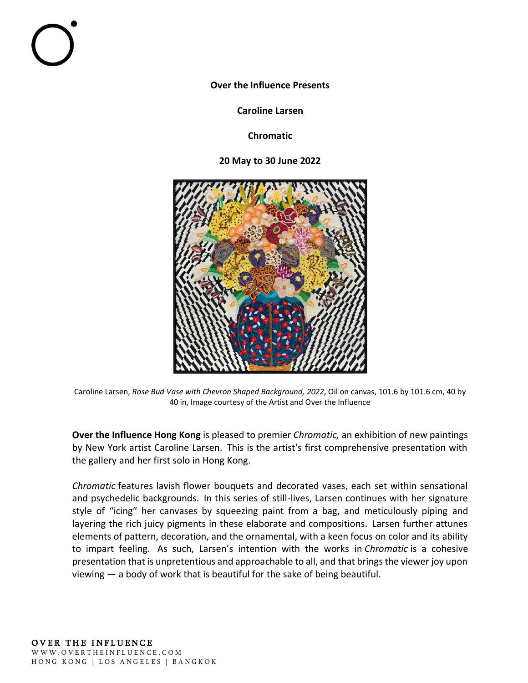**Over the Influence Presents**

**Caroline Larsen**

**Chromatic**

**20 May to 30 June 2022**



Caroline Larsen, *Rose Bud Vase with Chevron Shaped Background, 2022*, Oil on canvas, 101.6 by 101.6 cm, 40 by 40 in, Image courtesy of the Artist and Over the Influence

**Over the Influence Hong Kong** is pleased to premier *Chromatic,*an exhibition of new paintings by New York artist Caroline Larsen.  This is the artist's first comprehensive presentation with the gallery and her first solo in Hong Kong.  

*Chromatic*features lavish flower bouquets and decorated vases, each set within sensational and psychedelic backgrounds.  In this series of still-lives, Larsen continues with her signature style of "icing" her canvases by squeezing paint from a bag, and meticulously piping and layering the rich juicy pigments in these elaborate and compositions.  Larsen further attunes elements of pattern, decoration, and the ornamental, with a keen focus on color and its ability to impart feeling.  As such, Larsen's intention with the works in *Chromatic* is a cohesive presentation that is unpretentious and approachable to all, and that brings the viewer joy upon viewing — a body of work that is beautiful for the sake of being beautiful.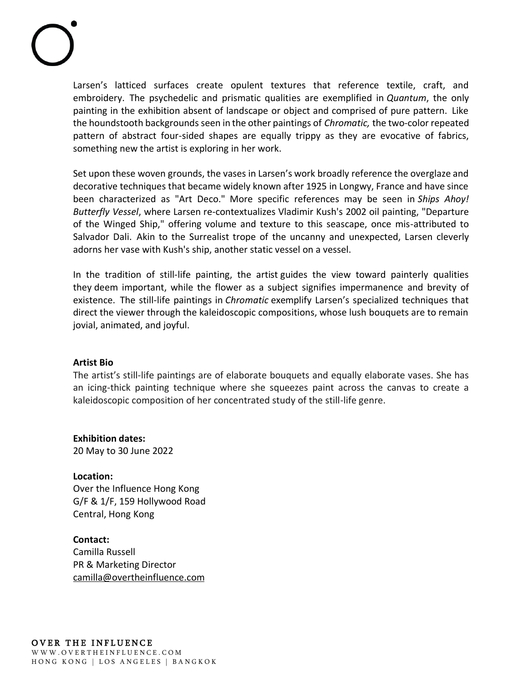Larsen's latticed surfaces create opulent textures that reference textile, craft, and embroidery.  The psychedelic and prismatic qualities are exemplified in *Quantum*, the only painting in the exhibition absent of landscape or object and comprised of pure pattern.  Like the houndstooth backgrounds seen in the other paintings of *Chromatic,*the two-color repeated pattern of abstract four-sided shapes are equally trippy as they are evocative of fabrics, something new the artist is exploring in her work. 

Set upon these woven grounds, the vases in Larsen's work broadly reference the overglaze and decorative techniques that became widely known after 1925 in Longwy, France and have since been characterized as "Art Deco."  More specific references may be seen in *Ships Ahoy! Butterfly Vessel*, where Larsen re-contextualizes Vladimir Kush's 2002 oil painting, "Departure of the Winged Ship," offering volume and texture to this seascape, once mis-attributed to Salvador Dali.  Akin to the Surrealist trope of the uncanny and unexpected, Larsen cleverly adorns her vase with Kush's ship, another static vessel on a vessel. 

In the tradition of still-life painting, the artist guides the view toward painterly qualities they deem important, while the flower as a subject signifies impermanence and brevity of existence.  The still-life paintings in *Chromatic*exemplify Larsen's specialized techniques that direct the viewer through the kaleidoscopic compositions, whose lush bouquets are to remain jovial, animated, and joyful. 

## **Artist Bio**

The artist's still-life paintings are of elaborate bouquets and equally elaborate vases. She has an icing-thick painting technique where she squeezes paint across the canvas to create a kaleidoscopic composition of her concentrated study of the still-life genre.

**Exhibition dates:** 20 May to 30 June 2022

**Location:** Over the Influence Hong Kong G/F & 1/F, 159 Hollywood Road Central, Hong Kong

**Contact:** Camilla Russell PR & Marketing Director [camilla@overtheinfluence.com](mailto:camilla@overtheinfluence.com)